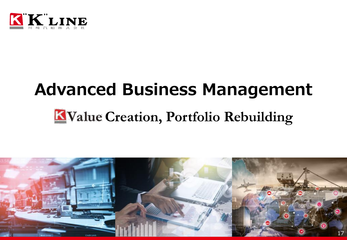

# Advanced Business Management

# KValue Creation, Portfolio Rebuilding

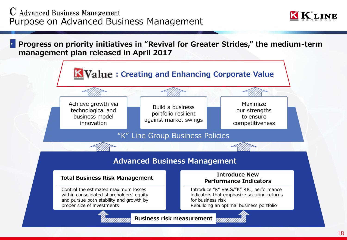

Progress on priority initiatives in "Revival for Greater Strides," the medium-term management plan released in April 2017

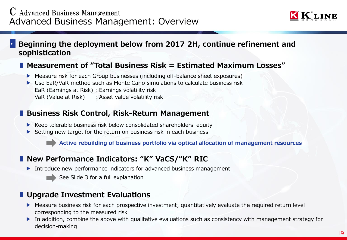

#### Beginning the deployment below from 2017 2H, continue refinement and sophistication

#### ■ Measurement of "Total Business Risk = Estimated Maximum Losses"

- ▶ Measure risk for each Group businesses (including off-balance sheet exposures)
- ▶ Use EaR/VaR method such as Monte Carlo simulations to calculate business risk EaR (Earnings at Risk) : Earnings volatility risk VaR (Value at Risk) : Asset value volatility risk

#### ■ Business Risk Control, Risk-Return Management

- ▶ Keep tolerable business risk below consolidated shareholders' equity
- ▶ Setting new target for the return on business risk in each business

Active rebuilding of business portfolio via optical allocation of management resources

## ■ New Performance Indicators: "K" VaCS/"K" RIC

- ▶ Introduce new performance indicators for advanced business management
	- See Slide 3 for a full explanation

## ■ Upgrade Investment Evaluations

- ▶ Measure business risk for each prospective investment; quantitatively evaluate the required return level corresponding to the measured risk
- ▶ In addition, combine the above with qualitative evaluations such as consistency with management strategy for decision-making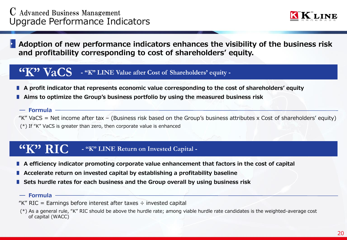

Adoption of new performance indicators enhances the visibility of the business risk and profitability corresponding to cost of shareholders' equity.

#### - "K" LINE Value after Cost of Shareholders' equity -Val

- ∎ A profit indicator that represents economic value corresponding to the cost of shareholders' equity
- Aims to optimize the Group's business portfolio by using the measured business risk
	- Formula

"K" VaCS = Net income after tax – (Business risk based on the Group's business attributes x Cost of shareholders' equity) (\*) If "K" VaCS is greater than zero, then corporate value is enhanced

#### "K" RIC - "K" LINE Return on Invested Capital -

- A efficiency indicator promoting corporate value enhancement that factors in the cost of capital
- ∎ Accelerate return on invested capital by establishing a profitability baseline
- Sets hurdle rates for each business and the Group overall by using business risk
- $-$  Formula
- "K" RIC = Earnings before interest after taxes  $\div$  invested capital
- (\*) As a general rule, "K" RIC should be above the hurdle rate; among viable hurdle rate candidates is the weighted-average cost of capital (WACC)